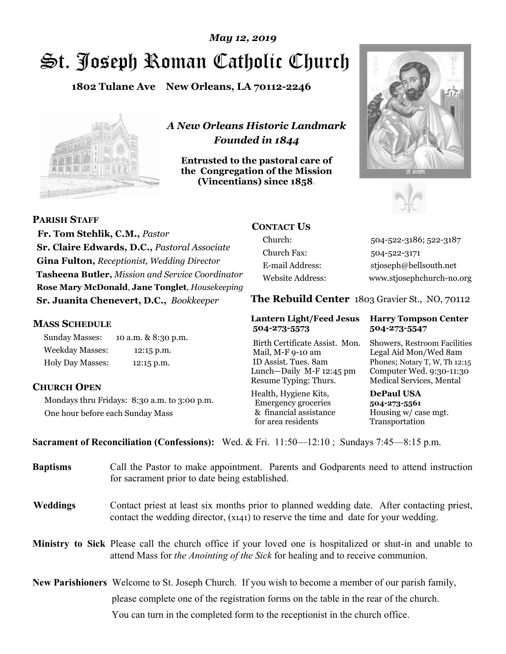# St. Joseph Roman Catholic Church *May 12, 2019*

**1802 Tulane Ave New Orleans, LA 70112-2246**



*A New Orleans Historic Landmark Founded in 1844* 

**Entrusted to the pastoral care of the Congregation of the Mission (Vincentians) since 1858**.





**PARISH STAFF**

 **Fr. Tom Stehlik, C.M.,** *Pastor* **Sr. Claire Edwards, D.C.,** *Pastoral Associate* **Gina Fulton,** *Receptionist, Wedding Director* **Tasheena Butler,** *Mission and Service Coordinator* **Rose Mary McDonald**, **Jane Tonglet**, *Housekeeping* **Sr. Juanita Chenevert, D.C.,** *Bookkeeper* 

### **MASS SCHEDULE**

Sunday Masses: 10 a.m. & 8:30 p.m. Weekday Masses: 12:15 p.m. Holy Day Masses: 12:15 p.m.

## **CHURCH OPEN**

Mondays thru Fridays: 8:30 a.m. to 3:00 p.m. One hour before each Sunday Mass

## **CONTACT US**

Church: 504-522-3186; 522-3187 Church Fax: 504-522-3171 E-mail Address: stjoseph@bellsouth.net Website Address: www.stjosephchurch-no.org

**The Rebuild Center** 1803 Gravier St., NO, 70112

#### **Lantern Light/Feed Jesus Harry Tompson Center 504-273-5573 504-273-5547**

Birth Certificate Assist. Mon. Showers, Restroom Facilities Mail, M-F 9-10 am Legal Aid Mon/Wed 8am ID Assist. Tues. 8am Phones; Notary T, W, Th 12:15 Lunch—Daily M-F 12:45 pm Computer Wed. 9:30-11:30 Resume Typing: Thurs. Medical Services, Mental

Health, Hygiene Kits, **DePaul USA**  Emergency groceries **504-273-5561** & financial assistance Housing w/ case mgt. for area residents Transportation

**Sacrament of Reconciliation (Confessions):** Wed. & Fri. 11:50—12:10 ; Sundays 7:45—8:15 p.m.

| <b>Baptisms</b> | Call the Pastor to make appointment. Parents and Godparents need to attend instruction<br>for sacrament prior to date being established.                                                            |  |  |
|-----------------|-----------------------------------------------------------------------------------------------------------------------------------------------------------------------------------------------------|--|--|
| <b>Weddings</b> | Contact priest at least six months prior to planned wedding date. After contacting priest,<br>contact the wedding director, (x141) to reserve the time and date for your wedding.                   |  |  |
|                 | <b>Ministry to Sick</b> Please call the church office if your loved one is hospitalized or shut-in and unable to<br>attend Mass for the Anointing of the Sick for healing and to receive communion. |  |  |
|                 | <b>New Parishioners</b> Welcome to St. Joseph Church. If you wish to become a member of our parish family,                                                                                          |  |  |
|                 | please complete one of the registration forms on the table in the rear of the church.                                                                                                               |  |  |
|                 | You can turn in the completed form to the reception is the church office.                                                                                                                           |  |  |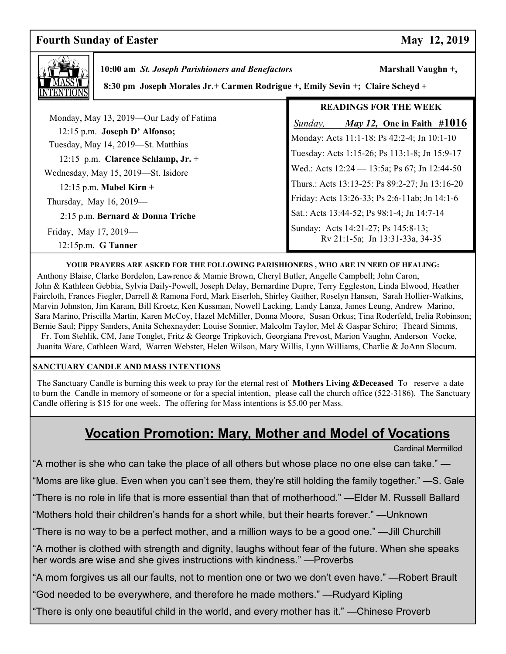## **Fourth Sunday of Easter May 12, 2019**



 **10:00 am St. Joseph Parishioners and Benefactors Marshall Vaughn +,** 

 **8:30 pm Joseph Morales Jr.+ Carmen Rodrigue +, Emily Sevin +; Claire Scheyd +** 

|                                                                     | <b>READINGS FOR THE WEEK</b>                                           |  |
|---------------------------------------------------------------------|------------------------------------------------------------------------|--|
| Monday, May 13, 2019—Our Lady of Fatima                             | May 12, One in Faith $\#1016$<br>Sunday,                               |  |
| 12:15 p.m. Joseph D' Alfonso;<br>Tuesday, May 14, 2019-St. Matthias | Monday: Acts 11:1-18; Ps 42:2-4; Jn 10:1-10                            |  |
| 12:15 p.m. Clarence Schlamp, $Jr.$ +                                | Tuesday: Acts 1:15-26; Ps 113:1-8; Jn 15:9-17                          |  |
| Wednesday, May 15, 2019-St. Isidore                                 | Wed.: Acts $12:24 - 13:5a$ ; Ps 67; Jn 12:44-50                        |  |
| $12:15$ p.m. Mabel Kirn +                                           | Thurs.: Acts 13:13-25: Ps 89:2-27; Jn 13:16-20                         |  |
| Thursday, May $16, 2019$ —                                          | Friday: Acts 13:26-33; Ps 2:6-11ab; Jn 14:1-6                          |  |
| 2:15 p.m. Bernard & Donna Triche                                    | Sat.: Acts 13:44-52; Ps 98:1-4; Jn 14:7-14                             |  |
| Friday, May 17, 2019-<br>$12:15p.m.$ G Tanner                       | Sunday: Acts 14:21-27; Ps 145:8-13;<br>Rv 21:1-5a; Jn 13:31-33a, 34-35 |  |

#### **YOUR PRAYERS ARE ASKED FOR THE FOLLOWING PARISHIONERS , WHO ARE IN NEED OF HEALING:**

 Anthony Blaise, Clarke Bordelon, Lawrence & Mamie Brown, Cheryl Butler, Angelle Campbell; John Caron, John & Kathleen Gebbia, Sylvia Daily-Powell, Joseph Delay, Bernardine Dupre, Terry Eggleston, Linda Elwood, Heather Faircloth, Frances Fiegler, Darrell & Ramona Ford, Mark Eiserloh, Shirley Gaither, Roselyn Hansen, Sarah Hollier-Watkins, Marvin Johnston, Jim Karam, Bill Kroetz, Ken Kussman, Nowell Lacking, Landy Lanza, James Leung, Andrew Marino, Sara Marino, Priscilla Martin, Karen McCoy, Hazel McMiller, Donna Moore, Susan Orkus; Tina Roderfeld, Irelia Robinson; Bernie Saul; Pippy Sanders, Anita Schexnayder; Louise Sonnier, Malcolm Taylor, Mel & Gaspar Schiro; Theard Simms, Fr. Tom Stehlik, CM, Jane Tonglet, Fritz & George Tripkovich, Georgiana Prevost, Marion Vaughn, Anderson Vocke, Juanita Ware, Cathleen Ward, Warren Webster, Helen Wilson, Mary Willis, Lynn Williams, Charlie & JoAnn Slocum.

#### **SANCTUARY CANDLE AND MASS INTENTIONS**

 The Sanctuary Candle is burning this week to pray for the eternal rest of **Mothers Living &Deceased** To reserve a date to burn the Candle in memory of someone or for a special intention, please call the church office (522-3186). The Sanctuary Candle offering is \$15 for one week. The offering for Mass intentions is \$5.00 per Mass.

## **Vocation Promotion: Mary, Mother and Model of Vocations**

Cardinal Mermillod

"A mother is she who can take the place of all others but whose place no one else can take." —

"Moms are like glue. Even when you can't see them, they're still holding the family together." —S. Gale

"There is no role in life that is more essential than that of motherhood." —Elder M. Russell Ballard

"Mothers hold their children's hands for a short while, but their hearts forever." —Unknown

"There is no way to be a perfect mother, and a million ways to be a good one." —Jill Churchill

"A mother is clothed with strength and dignity, laughs without fear of the future. When she speaks her words are wise and she gives instructions with kindness." —Proverbs

"A mom forgives us all our faults, not to mention one or two we don't even have." —Robert Brault

"God needed to be everywhere, and therefore he made mothers." —Rudyard Kipling

"There is only one beautiful child in the world, and every mother has it." —Chinese Proverb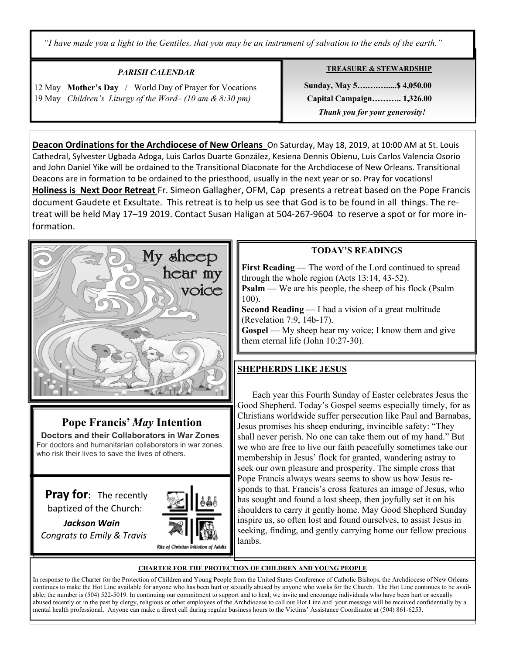*"I have made you a light to the Gentiles, that you may be an instrument of salvation to the ends of the earth."* 

## *PARISH CALENDAR*

12 May **Mother's Day** / World Day of Prayer for Vocations 19 May *Children's Liturgy of the Word– (10 am & 8:30 pm)* 

Ξ

#### **TREASURE & STEWARDSHIP**

 **Sunday, May 5….….….....\$ 4,050.00 Capital Campaign……….. 1,326.00**   *Thank you for your generosity!* 

**Deacon Ordinations for the Archdiocese of New Orleans** On Saturday, May 18, 2019, at 10:00 AM at St. Louis Cathedral, Sylvester Ugbada Adoga, Luis Carlos Duarte González, Kesiena Dennis Obienu, Luis Carlos Valencia Osorio and John Daniel Yike will be ordained to the Transitional Diaconate for the Archdiocese of New Orleans. Transitional Deacons are in formation to be ordained to the priesthood, usually in the next year or so. Pray for vocations! **Holiness is Next Door Retreat** Fr. Simeon Gallagher, OFM, Cap presents a retreat based on the Pope Francis document Gaudete et Exsultate. This retreat is to help us see that God is to be found in all things. The retreat will be held May 17–19 2019. Contact Susan Haligan at 504-267-9604 to reserve a spot or for more information.



## **Pope Francis'** *May* **Intention**

 **Doctors and their Collaborators in War Zones** For doctors and humanitarian collaborators in war zones, who risk their lives to save the lives of others.

**Pray for:** The recently baptized of the Church:



 *Jackson Wain Congrats to Emily & Travis*

## **TODAY'S READINGS**

**First Reading** — The word of the Lord continued to spread through the whole region (Acts 13:14, 43-52).

**Psalm** — We are his people, the sheep of his flock (Psalm 100).

**Second Reading** — I had a vision of a great multitude (Revelation 7:9, 14b-17).

**Gospel** — My sheep hear my voice; I know them and give them eternal life (John 10:27-30).

## **SHEPHERDS LIKE JESUS**

 Each year this Fourth Sunday of Easter celebrates Jesus the Good Shepherd. Today's Gospel seems especially timely, for as Christians worldwide suffer persecution like Paul and Barnabas, Jesus promises his sheep enduring, invincible safety: "They shall never perish. No one can take them out of my hand." But we who are free to live our faith peacefully sometimes take our membership in Jesus' flock for granted, wandering astray to seek our own pleasure and prosperity. The simple cross that Pope Francis always wears seems to show us how Jesus responds to that. Francis's cross features an image of Jesus, who has sought and found a lost sheep, then joyfully set it on his shoulders to carry it gently home. May Good Shepherd Sunday inspire us, so often lost and found ourselves, to assist Jesus in seeking, finding, and gently carrying home our fellow precious lambs.

#### **CHARTER FOR THE PROTECTION OF CHILDREN AND YOUNG PEOPLE**

In response to the Charter for the Protection of Children and Young People from the United States Conference of Catholic Bishops, the Archdiocese of New Orleans continues to make the Hot Line available for anyone who has been hurt or sexually abused by anyone who works for the Church. The Hot Line continues to be available; the number is (504) 522-5019. In continuing our commitment to support and to heal, we invite and encourage individuals who have been hurt or sexually abused recently or in the past by clergy, religious or other employees of the Archdiocese to call our Hot Line and your message will be received confidentially by a mental health professional. Anyone can make a direct call during regular business hours to the Victims' Assistance Coordinator at (504) 861-6253.